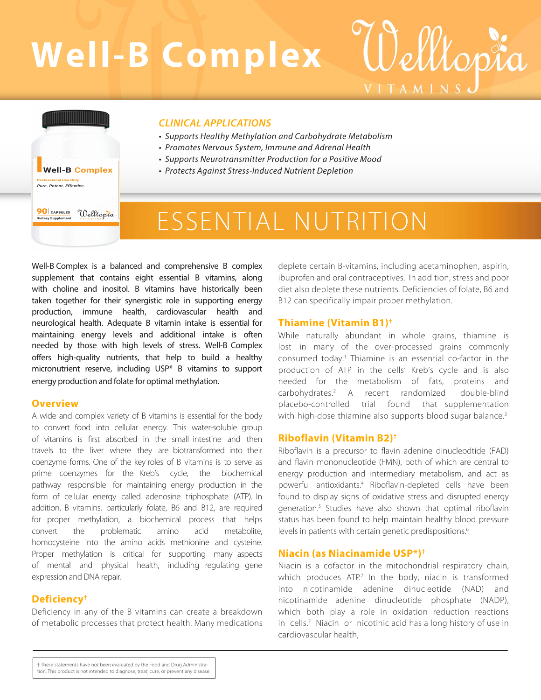# **Well-B Complex**

# *CLINICAL APPLICATIONS*

- *Supports Healthy Methylation and Carbohydrate Metabolism*
- *Promotes Nervous System, Immune and Adrenal Health*
- *Supports Neurotransmitter Production for a Positive Mood*
- *Protects Against Stress-Induced Nutrient Depletion*

# ESSENTIAL NUTRITION

Well-B Complex is a balanced and comprehensive B complex supplement that contains eight essential B vitamins, along with choline and inositol. B vitamins have historically been taken together for their synergistic role in supporting energy production, immune health, cardiovascular health and neurological health. Adequate B vitamin intake is essential for maintaining energy levels and additional intake is often needed by those with high levels of stress. Well-B Complex offers high-quality nutrients, that help to build a healthy micronutrient reserve, including USP\* B vitamins to support energy production and folate for optimal methylation.

#### **Overview**

**Well-B Complex** .<br>Isional Use Only Pure, Potent, Effective,

Welltopia

**90** CAPSULES

**Dietary Supplement** 

A wide and complex variety of B vitamins is essential for the body to convert food into cellular energy. This water-soluble group of vitamins is first absorbed in the small intestine and then travels to the liver where they are biotransformed into their coenzyme forms. One of the key roles of B vitamins is to serve as prime coenzymes for the Kreb's cycle, the biochemical pathway responsible for maintaining energy production in the form of cellular energy called adenosine triphosphate (ATP). In addition, B vitamins, particularly folate, B6 and B12, are required for proper methylation, a biochemical process that helps convert the problematic amino acid metabolite, homocysteine into the amino acids methionine and cysteine. Proper methylation is critical for supporting many aspects of mental and physical health, including regulating gene expression and DNA repair.

# **Deficiency†**

Deficiency in any of the B vitamins can create a breakdown of metabolic processes that protect health. Many medications deplete certain B-vitamins, including acetaminophen, aspirin, ibuprofen and oral contraceptives. In addition, stress and poor diet also deplete these nutrients. Deficiencies of folate, B6 and B12 can specifically impair proper methylation.

elltopta

VITAMINS

#### **Thiamine (Vitamin B1)†**

While naturally abundant in whole grains, thiamine is lost in many of the over-processed grains commonly consumed today.<sup>1</sup> Thiamine is an essential co-factor in the production of ATP in the cells' Kreb's cycle and is also needed for the metabolism of fats, proteins and carbohydrates.<sup>2</sup> A recent randomized double-blind placebo-controlled trial found that supplementation with high-dose thiamine also supports blood sugar balance.<sup>3</sup>

# **Riboflavin (Vitamin B2)†**

Riboflavin is a precursor to flavin adenine dinucleodtide (FAD) and flavin mononucleotide (FMN), both of which are central to energy production and intermediary metabolism, and act as powerful antioxidants.<sup>4</sup> Riboflavin-depleted cells have been found to display signs of oxidative stress and disrupted energy generation.<sup>5</sup> Studies have also shown that optimal riboflavin status has been found to help maintain healthy blood pressure levels in patients with certain genetic predispositions.<sup>6</sup>

#### **Niacin (as Niacinamide USP\*)†**

Niacin is a cofactor in the mitochondrial respiratory chain, which produces ATP.<sup>7</sup> In the body, niacin is transformed into nicotinamide adenine dinucleotide (NAD) and nicotinamide adenine dinucleotide phosphate (NADP), which both play a role in oxidation reduction reactions in cells.<sup>7</sup> Niacin or nicotinic acid has a long history of use in cardiovascular health,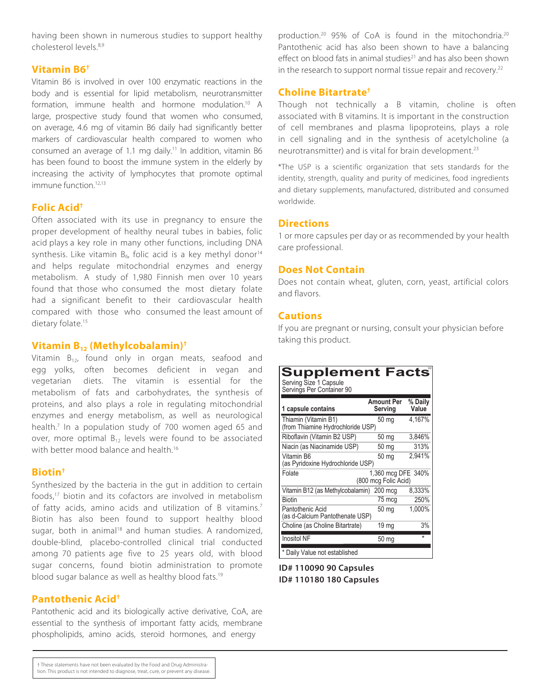having been shown in numerous studies to support healthy cholesterol levels.8,9

# **Vitamin B6†**

Vitamin B6 is involved in over 100 enzymatic reactions in the body and is essential for lipid metabolism, neurotransmitter formation, immune health and hormone modulation.<sup>10</sup> A large, prospective study found that women who consumed, on average, 4.6 mg of vitamin B6 daily had significantly better markers of cardiovascular health compared to women who consumed an average of 1.1 mg daily.<sup>11</sup> In addition, vitamin B6 has been found to boost the immune system in the elderly by increasing the activity of lymphocytes that promote optimal immune function<sup>12,13</sup>

# **Folic Acid†**

Often associated with its use in pregnancy to ensure the proper development of healthy neural tubes in babies, folic acid plays a key role in many other functions, including DNA synthesis. Like vitamin  $B_6$ , folic acid is a key methyl donor<sup>14</sup> and helps regulate mitochondrial enzymes and energy metabolism. A study of 1,980 Finnish men over 10 years found that those who consumed the most dietary folate had a significant benefit to their cardiovascular health compared with those who consumed the least amount of dietary folate.<sup>15</sup>

# **Vitamin B12 (Methylcobalamin)†**

Vitamin  $B_{12}$ , found only in organ meats, seafood and egg yolks, often becomes deficient in vegan and vegetarian diets. The vitamin is essential for the metabolism of fats and carbohydrates, the synthesis of proteins, and also plays a role in regulating mitochondrial enzymes and energy metabolism, as well as neurological health.<sup>7</sup> In a population study of 700 women aged 65 and over, more optimal  $B_{12}$  levels were found to be associated with better mood balance and health. 16

# **Biotin†**

Synthesized by the bacteria in the gut in addition to certain foods,<sup>17</sup> biotin and its cofactors are involved in metabolism of fatty acids, amino acids and utilization of B vitamins. 7 Biotin has also been found to support healthy blood sugar, both in animal<sup>18</sup> and human studies. A randomized, double-blind, placebo-controlled clinical trial conducted among 70 patients age five to 25 years old, with blood sugar concerns, found biotin administration to promote blood sugar balance as well as healthy blood fats.<sup>19</sup>

# **Pantothenic Acid†**

Pantothenic acid and its biologically active derivative, CoA, are essential to the synthesis of important fatty acids, membrane phospholipids, amino acids, steroid hormones, and energy

production.<sup>20</sup> 95% of CoA is found in the mitochondria.<sup>20</sup> Pantothenic acid has also been shown to have a balancing effect on blood fats in animal studies<sup>21</sup> and has also been shown in the research to support normal tissue repair and recovery.<sup>22</sup>

# **Choline Bitartrate†**

Though not technically a B vitamin, choline is often associated with B vitamins. It is important in the construction of cell membranes and plasma lipoproteins, plays a role in cell signaling and in the synthesis of acetylcholine (a neurotransmitter) and is vital for brain development.<sup>23</sup>

\*The USP is a scientific organization that sets standards for the identity, strength, quality and purity of medicines, food ingredients and dietary supplements, manufactured, distributed and consumed worldwide.

# **Directions**

1 or more capsules per day or as recommended by your health care professional.

# **Does Not Contain**

Does not contain wheat, gluten, corn, yeast, artificial colors and flavors.

# **Cautions**

If you are pregnant or nursing, consult your physician before taking this product.

| <b>Supplement Facts®</b><br>Serving Size 1 Capsule<br>Servings Per Container 90 |                                            |                  |
|---------------------------------------------------------------------------------|--------------------------------------------|------------------|
| 1 capsule contains                                                              | <b>Amount Per</b><br>Serving               | % Daily<br>Value |
| Thiamin (Vitamin B1)<br>(from Thiamine Hydrochloride USP)                       | $50 \text{ mg}$                            | 4,167%           |
| Riboflavin (Vitamin B2 USP)                                                     | 50 mg                                      | 3,846%           |
| Niacin (as Niacinamide USP)                                                     | 50 mg                                      | 313%             |
| Vitamin B6<br>(as Pyridoxine Hydrochloride USP)                                 | 50 mg                                      | 2,941%           |
| Folate                                                                          | 1,360 mcg DFE 340%<br>(800 mcg Folic Acid) |                  |
| Vitamin B12 (as Methylcobalamin) 200 mcg                                        |                                            | 8,333%           |
| <b>Biotin</b>                                                                   | 75 mcq                                     | 250%             |
| Pantothenic Acid<br>(as d-Calcium Pantothenate USP)                             | 50 mg                                      | 1,000%           |
| Choline (as Choline Bitartrate)                                                 | 19 mg                                      | 3%               |
| <b>Inositol NF</b>                                                              | 50 <sub>mg</sub>                           | ÷                |
| Daily Value not established                                                     |                                            |                  |

**ID# 110090 90 Capsules ID# 110180 180 Capsules**